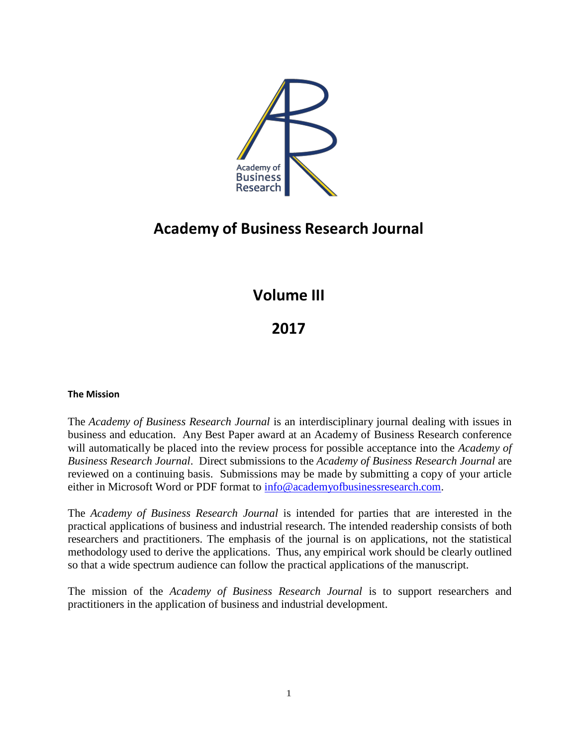

# **Academy of Business Research Journal**

# **Volume III**

# **2017**

#### **The Mission**

The *Academy of Business Research Journal* is an interdisciplinary journal dealing with issues in business and education. Any Best Paper award at an Academy of Business Research conference will automatically be placed into the review process for possible acceptance into the *Academy of Business Research Journal*. Direct submissions to the *Academy of Business Research Journal* are reviewed on a continuing basis. Submissions may be made by submitting a copy of your article either in Microsoft Word or PDF format to [info@academyofbusinessresearch.com.](mailto:info@academyofbusinessresearch.com)

The *Academy of Business Research Journal* is intended for parties that are interested in the practical applications of business and industrial research. The intended readership consists of both researchers and practitioners. The emphasis of the journal is on applications, not the statistical methodology used to derive the applications. Thus, any empirical work should be clearly outlined so that a wide spectrum audience can follow the practical applications of the manuscript.

The mission of the *Academy of Business Research Journal* is to support researchers and practitioners in the application of business and industrial development.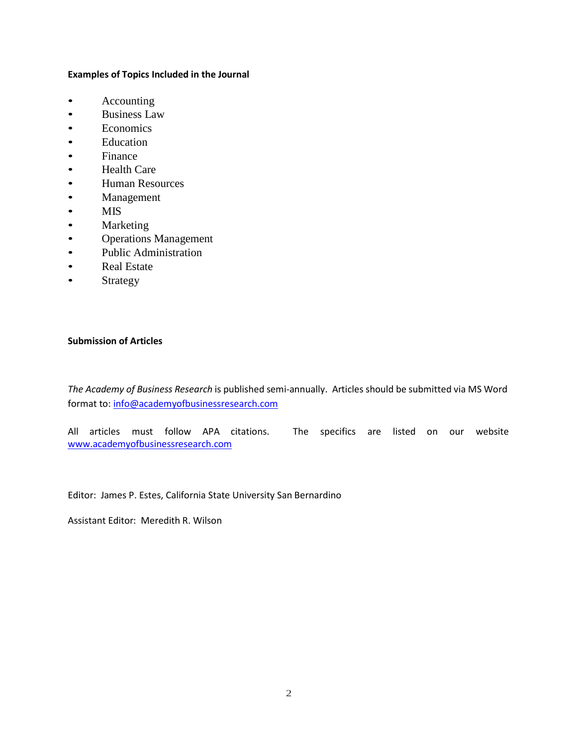#### **Examples of Topics Included in the Journal**

- Accounting
- Business Law
- Economics
- Education
- Finance
- Health Care
- Human Resources
- Management
- MIS
- Marketing
- Operations Management
- Public Administration
- Real Estate
- Strategy

#### **Submission of Articles**

*The Academy of Business Research* is published semi-annually. Articles should be submitted via MS Word format to: [info@academyofbusinessresearch.com](mailto:info@academyofbusinessresearch.com)

All articles must follow APA citations. The specifics are listed on our website [www.academyofbusinessresearch.com](http://www.academyofbusinessresearch.com/)

Editor: James P. Estes, California State University San Bernardino

Assistant Editor: Meredith R. Wilson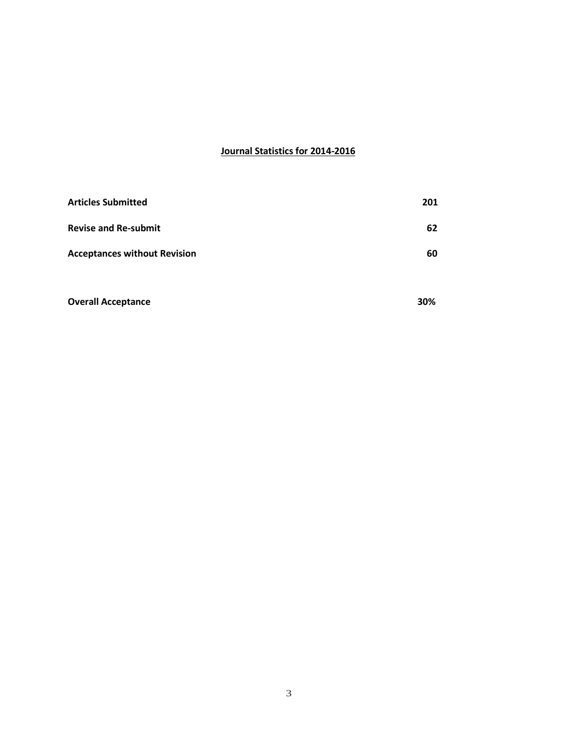#### **Journal Statistics for 2014-2016**

| <b>Articles Submitted</b>           | 201 |
|-------------------------------------|-----|
| <b>Revise and Re-submit</b>         | 62  |
| <b>Acceptances without Revision</b> | 60  |
| <b>Overall Acceptance</b>           | 30% |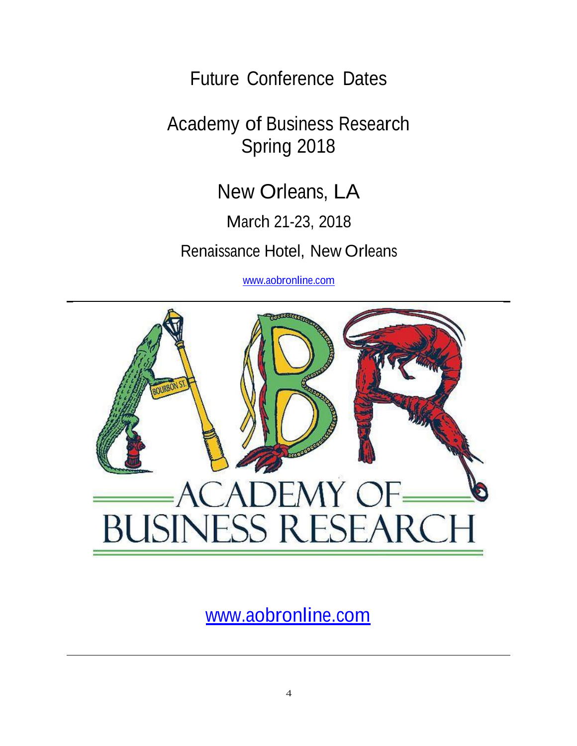Future Conference Dates

Academy of Business Research Spring 2018

New Orleans, LA

March 21-23, 2018

Renaissance Hotel, New Orleans

[www.aobronline.com](http://www.aobronline.com/)



[www.aobronline.com](http://www.aobronline.com/)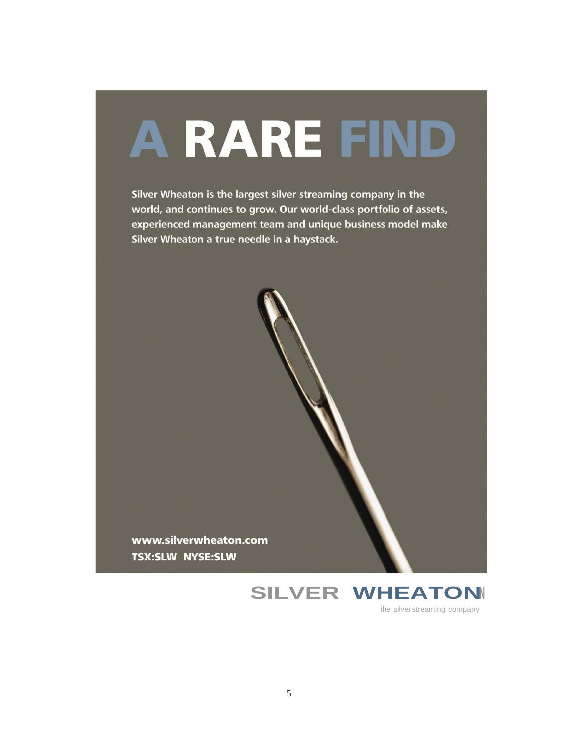# A RARE FIND

Silver Wheaton is the largest silver streaming company in the world, and continues to grow. Our world-class portfolio of assets, experienced management team and unique business model make Silver Wheaton a true needle in a haystack.

www.silverwheaton.com **TSX:SLW NYSE:SLW** 

> **SILVER WHEATON** the silver streaming company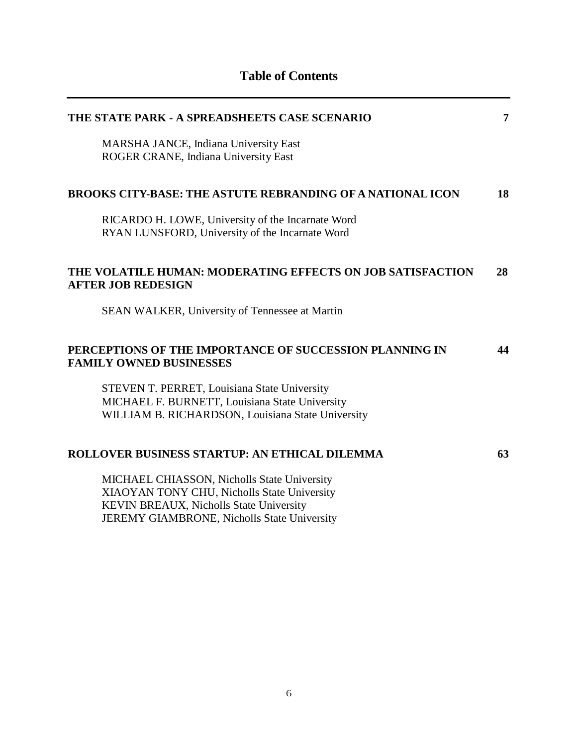| THE STATE PARK - A SPREADSHEETS CASE SCENARIO                                                        | 7  |
|------------------------------------------------------------------------------------------------------|----|
| MARSHA JANCE, Indiana University East<br>ROGER CRANE, Indiana University East                        |    |
| <b>BROOKS CITY-BASE: THE ASTUTE REBRANDING OF A NATIONAL ICON</b>                                    | 18 |
| RICARDO H. LOWE, University of the Incarnate Word<br>RYAN LUNSFORD, University of the Incarnate Word |    |
| THE VOLATILE HUMAN: MODERATING EFFECTS ON JOB SATISFACTION<br><b>AFTER JOB REDESIGN</b>              | 28 |
| SEAN WALKER, University of Tennessee at Martin                                                       |    |
| PERCEPTIONS OF THE IMPORTANCE OF SUCCESSION PLANNING IN<br><b>FAMILY OWNED BUSINESSES</b>            | 44 |
| STEVEN T. PERRET, Louisiana State University                                                         |    |
| MICHAEL F. BURNETT, Louisiana State University<br>WILLIAM B. RICHARDSON, Louisiana State University  |    |
| <b>ROLLOVER BUSINESS STARTUP: AN ETHICAL DILEMMA</b>                                                 | 63 |
| MICHAEL CHIASSON, Nicholls State University                                                          |    |
| XIAOYAN TONY CHU, Nicholls State University<br>KEVIN BREAUX, Nicholls State University               |    |
| JEREMY GIAMBRONE, Nicholls State University                                                          |    |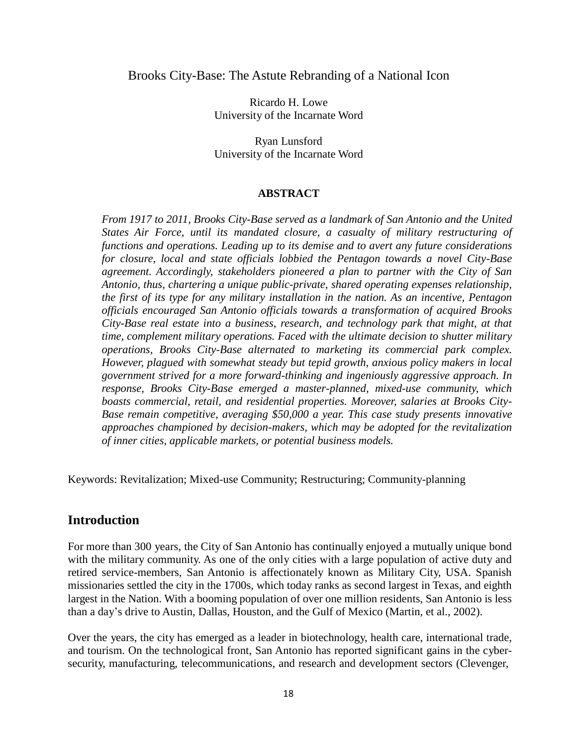#### Brooks City-Base: The Astute Rebranding of a National Icon

Ricardo H. Lowe University of the Incarnate Word

Ryan Lunsford University of the Incarnate Word

#### **ABSTRACT**

*From 1917 to 2011, Brooks City-Base served as a landmark of San Antonio and the United States Air Force, until its mandated closure, a casualty of military restructuring of functions and operations. Leading up to its demise and to avert any future considerations for closure, local and state officials lobbied the Pentagon towards a novel City-Base agreement. Accordingly, stakeholders pioneered a plan to partner with the City of San Antonio, thus, chartering a unique public-private, shared operating expenses relationship, the first of its type for any military installation in the nation. As an incentive, Pentagon officials encouraged San Antonio officials towards a transformation of acquired Brooks City-Base real estate into a business, research, and technology park that might, at that time, complement military operations. Faced with the ultimate decision to shutter military operations, Brooks City-Base alternated to marketing its commercial park complex. However, plagued with somewhat steady but tepid growth, anxious policy makers in local government strived for a more forward-thinking and ingeniously aggressive approach. In response, Brooks City-Base emerged a master-planned, mixed-use community, which boasts commercial, retail, and residential properties. Moreover, salaries at Brooks City-Base remain competitive, averaging \$50,000 a year. This case study presents innovative approaches championed by decision-makers, which may be adopted for the revitalization of inner cities, applicable markets, or potential business models.*

Keywords: Revitalization; Mixed-use Community; Restructuring; Community-planning

## **Introduction**

For more than 300 years, the City of San Antonio has continually enjoyed a mutually unique bond with the military community. As one of the only cities with a large population of active duty and retired service-members, San Antonio is affectionately known as Military City, USA. Spanish missionaries settled the city in the 1700s, which today ranks as second largest in Texas, and eighth largest in the Nation. With a booming population of over one million residents, San Antonio is less than a day's drive to Austin, Dallas, Houston, and the Gulf of Mexico (Martin, et al., 2002).

Over the years, the city has emerged as a leader in biotechnology, health care, international trade, and tourism. On the technological front, San Antonio has reported significant gains in the cybersecurity, manufacturing, telecommunications, and research and development sectors (Clevenger,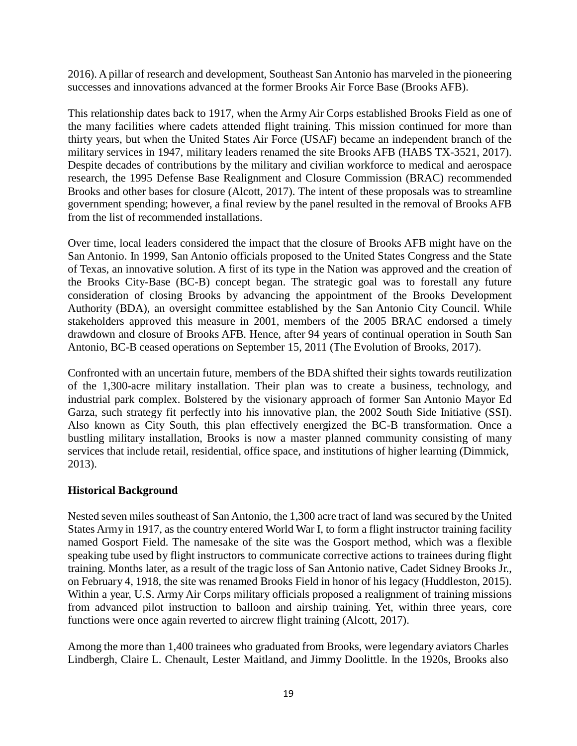2016). A pillar of research and development, Southeast San Antonio has marveled in the pioneering successes and innovations advanced at the former Brooks Air Force Base (Brooks AFB).

This relationship dates back to 1917, when the Army Air Corps established Brooks Field as one of the many facilities where cadets attended flight training. This mission continued for more than thirty years, but when the United States Air Force (USAF) became an independent branch of the military services in 1947, military leaders renamed the site Brooks AFB (HABS TX-3521, 2017). Despite decades of contributions by the military and civilian workforce to medical and aerospace research, the 1995 Defense Base Realignment and Closure Commission (BRAC) recommended Brooks and other bases for closure (Alcott, 2017). The intent of these proposals was to streamline government spending; however, a final review by the panel resulted in the removal of Brooks AFB from the list of recommended installations.

Over time, local leaders considered the impact that the closure of Brooks AFB might have on the San Antonio. In 1999, San Antonio officials proposed to the United States Congress and the State of Texas, an innovative solution. A first of its type in the Nation was approved and the creation of the Brooks City-Base (BC-B) concept began. The strategic goal was to forestall any future consideration of closing Brooks by advancing the appointment of the Brooks Development Authority (BDA), an oversight committee established by the San Antonio City Council. While stakeholders approved this measure in 2001, members of the 2005 BRAC endorsed a timely drawdown and closure of Brooks AFB. Hence, after 94 years of continual operation in South San Antonio, BC-B ceased operations on September 15, 2011 (The Evolution of Brooks, 2017).

Confronted with an uncertain future, members of the BDA shifted their sights towards reutilization of the 1,300-acre military installation. Their plan was to create a business, technology, and industrial park complex. Bolstered by the visionary approach of former San Antonio Mayor Ed Garza, such strategy fit perfectly into his innovative plan, the 2002 South Side Initiative (SSI). Also known as City South, this plan effectively energized the BC-B transformation. Once a bustling military installation, Brooks is now a master planned community consisting of many services that include retail, residential, office space, and institutions of higher learning (Dimmick, 2013).

## **Historical Background**

Nested seven miles southeast of San Antonio, the 1,300 acre tract of land was secured by the United States Army in 1917, as the country entered World War I, to form a flight instructor training facility named Gosport Field. The namesake of the site was the Gosport method, which was a flexible speaking tube used by flight instructors to communicate corrective actions to trainees during flight training. Months later, as a result of the tragic loss of San Antonio native, Cadet Sidney Brooks Jr., on February 4, 1918, the site was renamed Brooks Field in honor of his legacy (Huddleston, 2015). Within a year, U.S. Army Air Corps military officials proposed a realignment of training missions from advanced pilot instruction to balloon and airship training. Yet, within three years, core functions were once again reverted to aircrew flight training (Alcott, 2017).

Among the more than 1,400 trainees who graduated from Brooks, were legendary aviators Charles Lindbergh, Claire L. Chenault, Lester Maitland, and Jimmy Doolittle. In the 1920s, Brooks also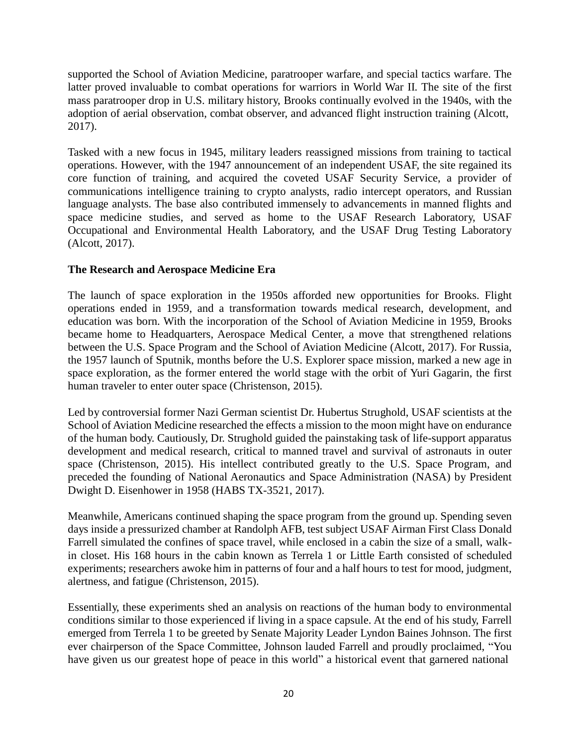supported the School of Aviation Medicine, paratrooper warfare, and special tactics warfare. The latter proved invaluable to combat operations for warriors in World War II. The site of the first mass paratrooper drop in U.S. military history, Brooks continually evolved in the 1940s, with the adoption of aerial observation, combat observer, and advanced flight instruction training (Alcott, 2017).

Tasked with a new focus in 1945, military leaders reassigned missions from training to tactical operations. However, with the 1947 announcement of an independent USAF, the site regained its core function of training, and acquired the coveted USAF Security Service, a provider of communications intelligence training to crypto analysts, radio intercept operators, and Russian language analysts. The base also contributed immensely to advancements in manned flights and space medicine studies, and served as home to the USAF Research Laboratory, USAF Occupational and Environmental Health Laboratory, and the USAF Drug Testing Laboratory (Alcott, 2017).

#### **The Research and Aerospace Medicine Era**

The launch of space exploration in the 1950s afforded new opportunities for Brooks. Flight operations ended in 1959, and a transformation towards medical research, development, and education was born. With the incorporation of the School of Aviation Medicine in 1959, Brooks became home to Headquarters, Aerospace Medical Center, a move that strengthened relations between the U.S. Space Program and the School of Aviation Medicine (Alcott, 2017). For Russia, the 1957 launch of Sputnik, months before the U.S. Explorer space mission, marked a new age in space exploration, as the former entered the world stage with the orbit of Yuri Gagarin, the first human traveler to enter outer space (Christenson, 2015).

Led by controversial former Nazi German scientist Dr. Hubertus Strughold, USAF scientists at the School of Aviation Medicine researched the effects a mission to the moon might have on endurance of the human body. Cautiously, Dr. Strughold guided the painstaking task of life-support apparatus development and medical research, critical to manned travel and survival of astronauts in outer space (Christenson, 2015). His intellect contributed greatly to the U.S. Space Program, and preceded the founding of National Aeronautics and Space Administration (NASA) by President Dwight D. Eisenhower in 1958 (HABS TX-3521, 2017).

Meanwhile, Americans continued shaping the space program from the ground up. Spending seven days inside a pressurized chamber at Randolph AFB, test subject USAF Airman First Class Donald Farrell simulated the confines of space travel, while enclosed in a cabin the size of a small, walkin closet. His 168 hours in the cabin known as Terrela 1 or Little Earth consisted of scheduled experiments; researchers awoke him in patterns of four and a half hours to test for mood, judgment, alertness, and fatigue (Christenson, 2015).

Essentially, these experiments shed an analysis on reactions of the human body to environmental conditions similar to those experienced if living in a space capsule. At the end of his study, Farrell emerged from Terrela 1 to be greeted by Senate Majority Leader Lyndon Baines Johnson. The first ever chairperson of the Space Committee, Johnson lauded Farrell and proudly proclaimed, "You have given us our greatest hope of peace in this world" a historical event that garnered national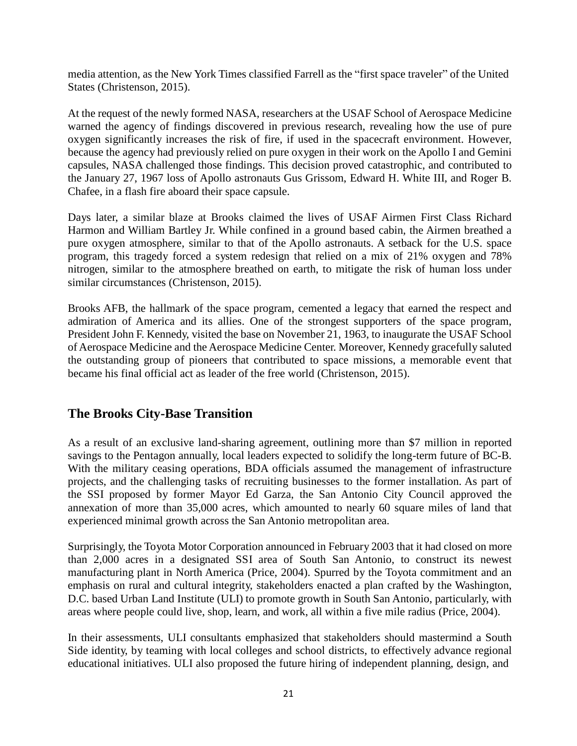media attention, as the New York Times classified Farrell as the "first space traveler" of the United States (Christenson, 2015).

At the request of the newly formed NASA, researchers at the USAF School of Aerospace Medicine warned the agency of findings discovered in previous research, revealing how the use of pure oxygen significantly increases the risk of fire, if used in the spacecraft environment. However, because the agency had previously relied on pure oxygen in their work on the Apollo I and Gemini capsules, NASA challenged those findings. This decision proved catastrophic, and contributed to the January 27, 1967 loss of Apollo astronauts Gus Grissom, Edward H. White III, and Roger B. Chafee, in a flash fire aboard their space capsule.

Days later, a similar blaze at Brooks claimed the lives of USAF Airmen First Class Richard Harmon and William Bartley Jr. While confined in a ground based cabin, the Airmen breathed a pure oxygen atmosphere, similar to that of the Apollo astronauts. A setback for the U.S. space program, this tragedy forced a system redesign that relied on a mix of 21% oxygen and 78% nitrogen, similar to the atmosphere breathed on earth, to mitigate the risk of human loss under similar circumstances (Christenson, 2015).

Brooks AFB, the hallmark of the space program, cemented a legacy that earned the respect and admiration of America and its allies. One of the strongest supporters of the space program, President John F. Kennedy, visited the base on November 21, 1963, to inaugurate the USAF School of Aerospace Medicine and the Aerospace Medicine Center. Moreover, Kennedy gracefully saluted the outstanding group of pioneers that contributed to space missions, a memorable event that became his final official act as leader of the free world (Christenson, 2015).

# **The Brooks City-Base Transition**

As a result of an exclusive land-sharing agreement, outlining more than \$7 million in reported savings to the Pentagon annually, local leaders expected to solidify the long-term future of BC-B. With the military ceasing operations, BDA officials assumed the management of infrastructure projects, and the challenging tasks of recruiting businesses to the former installation. As part of the SSI proposed by former Mayor Ed Garza, the San Antonio City Council approved the annexation of more than 35,000 acres, which amounted to nearly 60 square miles of land that experienced minimal growth across the San Antonio metropolitan area.

Surprisingly, the Toyota Motor Corporation announced in February 2003 that it had closed on more than 2,000 acres in a designated SSI area of South San Antonio, to construct its newest manufacturing plant in North America (Price, 2004). Spurred by the Toyota commitment and an emphasis on rural and cultural integrity, stakeholders enacted a plan crafted by the Washington, D.C. based Urban Land Institute (ULI) to promote growth in South San Antonio, particularly, with areas where people could live, shop, learn, and work, all within a five mile radius (Price, 2004).

In their assessments, ULI consultants emphasized that stakeholders should mastermind a South Side identity, by teaming with local colleges and school districts, to effectively advance regional educational initiatives. ULI also proposed the future hiring of independent planning, design, and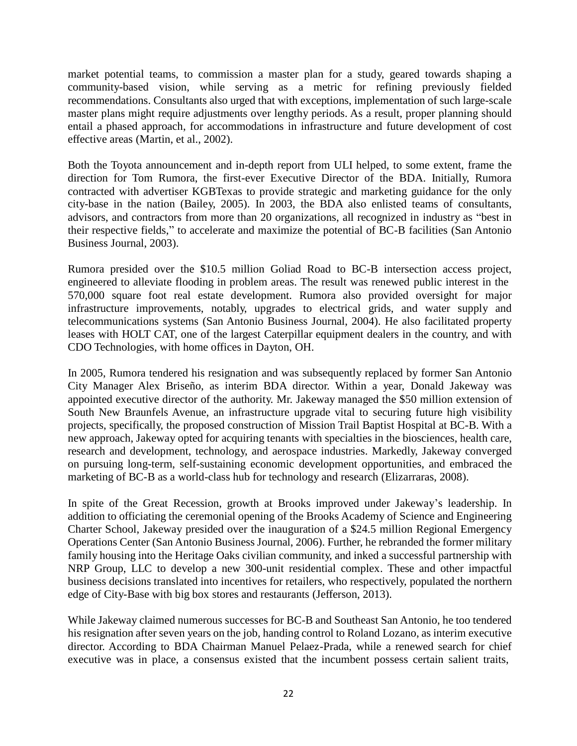market potential teams, to commission a master plan for a study, geared towards shaping a community-based vision, while serving as a metric for refining previously fielded recommendations. Consultants also urged that with exceptions, implementation of such large-scale master plans might require adjustments over lengthy periods. As a result, proper planning should entail a phased approach, for accommodations in infrastructure and future development of cost effective areas (Martin, et al., 2002).

Both the Toyota announcement and in-depth report from ULI helped, to some extent, frame the direction for Tom Rumora, the first-ever Executive Director of the BDA. Initially, Rumora contracted with advertiser KGBTexas to provide strategic and marketing guidance for the only city-base in the nation (Bailey, 2005). In 2003, the BDA also enlisted teams of consultants, advisors, and contractors from more than 20 organizations, all recognized in industry as "best in their respective fields," to accelerate and maximize the potential of BC-B facilities (San Antonio Business Journal, 2003).

Rumora presided over the \$10.5 million Goliad Road to BC-B intersection access project, engineered to alleviate flooding in problem areas. The result was renewed public interest in the 570,000 square foot real estate development. Rumora also provided oversight for major infrastructure improvements, notably, upgrades to electrical grids, and water supply and telecommunications systems (San Antonio Business Journal, 2004). He also facilitated property leases with HOLT CAT, one of the largest Caterpillar equipment dealers in the country, and with CDO Technologies, with home offices in Dayton, OH.

In 2005, Rumora tendered his resignation and was subsequently replaced by former San Antonio City Manager Alex Briseño, as interim BDA director. Within a year, Donald Jakeway was appointed executive director of the authority. Mr. Jakeway managed the \$50 million extension of South New Braunfels Avenue, an infrastructure upgrade vital to securing future high visibility projects, specifically, the proposed construction of Mission Trail Baptist Hospital at BC-B. With a new approach, Jakeway opted for acquiring tenants with specialties in the biosciences, health care, research and development, technology, and aerospace industries. Markedly, Jakeway converged on pursuing long-term, self-sustaining economic development opportunities, and embraced the marketing of BC-B as a world-class hub for technology and research (Elizarraras, 2008).

In spite of the Great Recession, growth at Brooks improved under Jakeway's leadership. In addition to officiating the ceremonial opening of the Brooks Academy of Science and Engineering Charter School, Jakeway presided over the inauguration of a \$24.5 million Regional Emergency Operations Center (San Antonio Business Journal, 2006). Further, he rebranded the former military family housing into the Heritage Oaks civilian community, and inked a successful partnership with NRP Group, LLC to develop a new 300-unit residential complex. These and other impactful business decisions translated into incentives for retailers, who respectively, populated the northern edge of City-Base with big box stores and restaurants (Jefferson, 2013).

While Jakeway claimed numerous successes for BC-B and Southeast San Antonio, he too tendered his resignation after seven years on the job, handing control to Roland Lozano, as interim executive director. According to BDA Chairman Manuel Pelaez-Prada, while a renewed search for chief executive was in place, a consensus existed that the incumbent possess certain salient traits,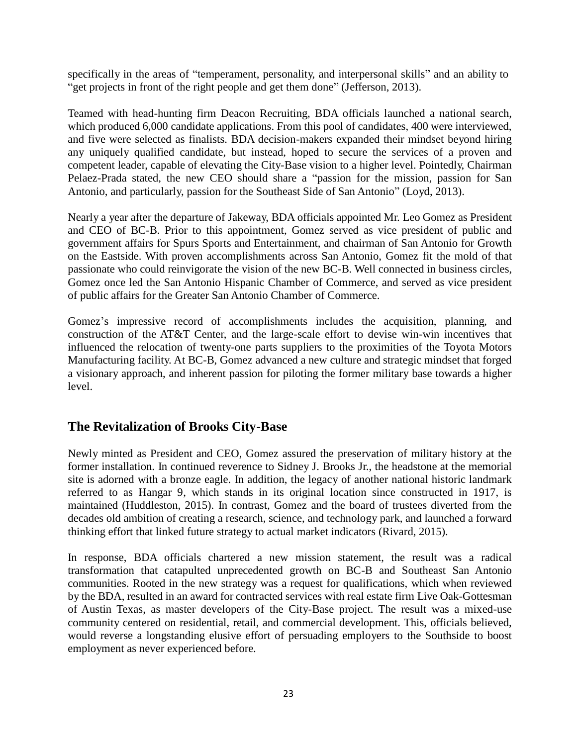specifically in the areas of "temperament, personality, and interpersonal skills" and an ability to "get projects in front of the right people and get them done" (Jefferson, 2013).

Teamed with head-hunting firm Deacon Recruiting, BDA officials launched a national search, which produced 6,000 candidate applications. From this pool of candidates, 400 were interviewed, and five were selected as finalists. BDA decision-makers expanded their mindset beyond hiring any uniquely qualified candidate, but instead, hoped to secure the services of a proven and competent leader, capable of elevating the City-Base vision to a higher level. Pointedly, Chairman Pelaez-Prada stated, the new CEO should share a "passion for the mission, passion for San Antonio, and particularly, passion for the Southeast Side of San Antonio" (Loyd, 2013).

Nearly a year after the departure of Jakeway, BDA officials appointed Mr. Leo Gomez as President and CEO of BC-B. Prior to this appointment, Gomez served as vice president of public and government affairs for Spurs Sports and Entertainment, and chairman of San Antonio for Growth on the Eastside. With proven accomplishments across San Antonio, Gomez fit the mold of that passionate who could reinvigorate the vision of the new BC-B. Well connected in business circles, Gomez once led the San Antonio Hispanic Chamber of Commerce, and served as vice president of public affairs for the Greater San Antonio Chamber of Commerce.

Gomez's impressive record of accomplishments includes the acquisition, planning, and construction of the AT&T Center, and the large-scale effort to devise win-win incentives that influenced the relocation of twenty-one parts suppliers to the proximities of the Toyota Motors Manufacturing facility. At BC-B, Gomez advanced a new culture and strategic mindset that forged a visionary approach, and inherent passion for piloting the former military base towards a higher level.

# **The Revitalization of Brooks City-Base**

Newly minted as President and CEO, Gomez assured the preservation of military history at the former installation. In continued reverence to Sidney J. Brooks Jr., the headstone at the memorial site is adorned with a bronze eagle. In addition, the legacy of another national historic landmark referred to as Hangar 9, which stands in its original location since constructed in 1917, is maintained (Huddleston, 2015). In contrast, Gomez and the board of trustees diverted from the decades old ambition of creating a research, science, and technology park, and launched a forward thinking effort that linked future strategy to actual market indicators (Rivard, 2015).

In response, BDA officials chartered a new mission statement, the result was a radical transformation that catapulted unprecedented growth on BC-B and Southeast San Antonio communities. Rooted in the new strategy was a request for qualifications, which when reviewed by the BDA, resulted in an award for contracted services with real estate firm Live Oak-Gottesman of Austin Texas, as master developers of the City-Base project. The result was a mixed-use community centered on residential, retail, and commercial development. This, officials believed, would reverse a longstanding elusive effort of persuading employers to the Southside to boost employment as never experienced before.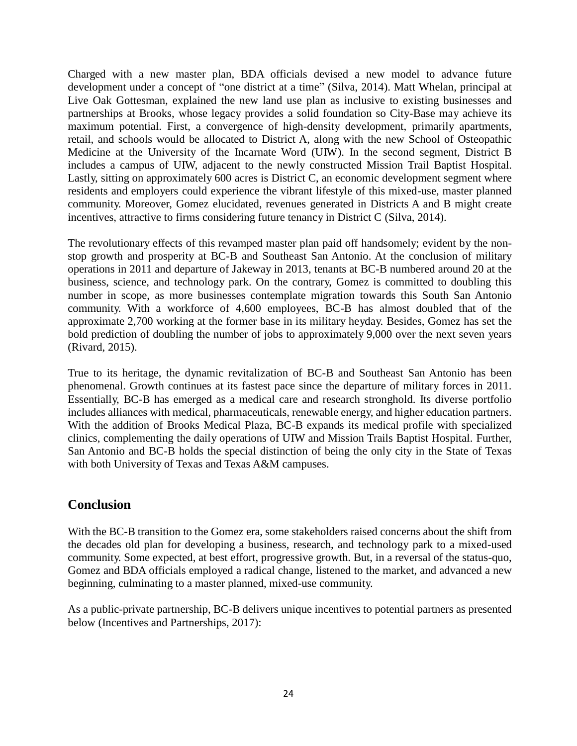Charged with a new master plan, BDA officials devised a new model to advance future development under a concept of "one district at a time" (Silva, 2014). Matt Whelan, principal at Live Oak Gottesman, explained the new land use plan as inclusive to existing businesses and partnerships at Brooks, whose legacy provides a solid foundation so City-Base may achieve its maximum potential. First, a convergence of high-density development, primarily apartments, retail, and schools would be allocated to District A, along with the new School of Osteopathic Medicine at the University of the Incarnate Word (UIW). In the second segment, District B includes a campus of UIW, adjacent to the newly constructed Mission Trail Baptist Hospital. Lastly, sitting on approximately 600 acres is District C, an economic development segment where residents and employers could experience the vibrant lifestyle of this mixed-use, master planned community. Moreover, Gomez elucidated, revenues generated in Districts A and B might create incentives, attractive to firms considering future tenancy in District C (Silva, 2014).

The revolutionary effects of this revamped master plan paid off handsomely; evident by the nonstop growth and prosperity at BC-B and Southeast San Antonio. At the conclusion of military operations in 2011 and departure of Jakeway in 2013, tenants at BC-B numbered around 20 at the business, science, and technology park. On the contrary, Gomez is committed to doubling this number in scope, as more businesses contemplate migration towards this South San Antonio community. With a workforce of 4,600 employees, BC-B has almost doubled that of the approximate 2,700 working at the former base in its military heyday. Besides, Gomez has set the bold prediction of doubling the number of jobs to approximately 9,000 over the next seven years (Rivard, 2015).

True to its heritage, the dynamic revitalization of BC-B and Southeast San Antonio has been phenomenal. Growth continues at its fastest pace since the departure of military forces in 2011. Essentially, BC-B has emerged as a medical care and research stronghold. Its diverse portfolio includes alliances with medical, pharmaceuticals, renewable energy, and higher education partners. With the addition of Brooks Medical Plaza, BC-B expands its medical profile with specialized clinics, complementing the daily operations of UIW and Mission Trails Baptist Hospital. Further, San Antonio and BC-B holds the special distinction of being the only city in the State of Texas with both University of Texas and Texas A&M campuses.

## **Conclusion**

With the BC-B transition to the Gomez era, some stakeholders raised concerns about the shift from the decades old plan for developing a business, research, and technology park to a mixed-used community. Some expected, at best effort, progressive growth. But, in a reversal of the status-quo, Gomez and BDA officials employed a radical change, listened to the market, and advanced a new beginning, culminating to a master planned, mixed-use community.

As a public-private partnership, BC-B delivers unique incentives to potential partners as presented below (Incentives and Partnerships, 2017):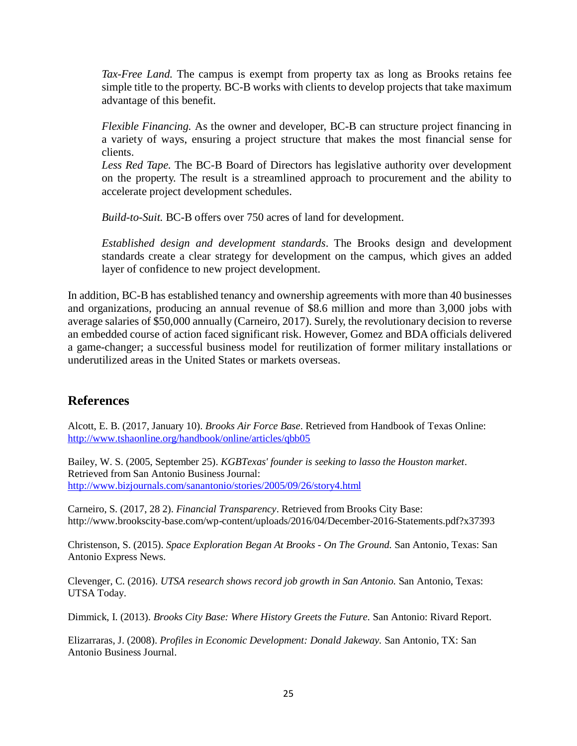*Tax-Free Land.* The campus is exempt from property tax as long as Brooks retains fee simple title to the property. BC-B works with clients to develop projects that take maximum advantage of this benefit.

*Flexible Financing.* As the owner and developer, BC-B can structure project financing in a variety of ways, ensuring a project structure that makes the most financial sense for clients.

*Less Red Tape.* The BC-B Board of Directors has legislative authority over development on the property. The result is a streamlined approach to procurement and the ability to accelerate project development schedules.

*Build-to-Suit.* BC-B offers over 750 acres of land for development.

*Established design and development standards*. The Brooks design and development standards create a clear strategy for development on the campus, which gives an added layer of confidence to new project development.

In addition, BC-B has established tenancy and ownership agreements with more than 40 businesses and organizations, producing an annual revenue of \$8.6 million and more than 3,000 jobs with average salaries of \$50,000 annually (Carneiro, 2017). Surely, the revolutionary decision to reverse an embedded course of action faced significant risk. However, Gomez and BDA officials delivered a game-changer; a successful business model for reutilization of former military installations or underutilized areas in the United States or markets overseas.

# **References**

Alcott, E. B. (2017, January 10). *Brooks Air Force Base*. Retrieved from Handbook of Texas Online: <http://www.tshaonline.org/handbook/online/articles/qbb05>

Bailey, W. S. (2005, September 25). *KGBTexas' founder is seeking to lasso the Houston market*. Retrieved from San Antonio Business Journal: <http://www.bizjournals.com/sanantonio/stories/2005/09/26/story4.html>

Carneiro, S. (2017, 28 2). *Financial Transparency*. Retrieved from Brooks City Base: <http://www.brookscity-base.com/wp-content/uploads/2016/04/December-2016-Statements.pdf?x37393>

Christenson, S. (2015). *Space Exploration Began At Brooks - On The Ground.* San Antonio, Texas: San Antonio Express News.

Clevenger, C. (2016). *UTSA research shows record job growth in San Antonio.* San Antonio, Texas: UTSA Today.

Dimmick, I. (2013). *Brooks City Base: Where History Greets the Future.* San Antonio: Rivard Report.

Elizarraras, J. (2008). *Profiles in Economic Development: Donald Jakeway.* San Antonio, TX: San Antonio Business Journal.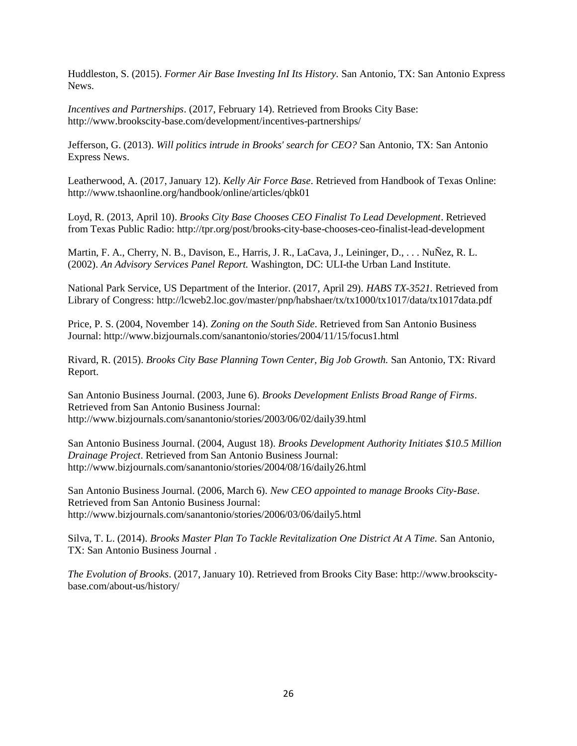Huddleston, S. (2015). *Former Air Base Investing InI Its History.* San Antonio, TX: San Antonio Express **News**.

*Incentives and Partnerships*. (2017, February 14). Retrieved from Brooks City Base: <http://www.brookscity-base.com/development/incentives-partnerships/>

Jefferson, G. (2013). *Will politics intrude in Brooks' search for CEO?* San Antonio, TX: San Antonio Express News.

Leatherwood, A. (2017, January 12). *Kelly Air Force Base*. Retrieved from Handbook of Texas Online: <http://www.tshaonline.org/handbook/online/articles/qbk01>

Loyd, R. (2013, April 10). *Brooks City Base Chooses CEO Finalist To Lead Development*. Retrieved from Texas Public Radio: <http://tpr.org/post/brooks-city-base-chooses-ceo-finalist-lead-development>

Martin, F. A., Cherry, N. B., Davison, E., Harris, J. R., LaCava, J., Leininger, D., . . . NuÑez, R. L. (2002). *An Advisory Services Panel Report.* Washington, DC: ULI-the Urban Land Institute.

National Park Service, US Department of the Interior. (2017, April 29). *HABS TX-3521.* Retrieved from Library of Congress: <http://lcweb2.loc.gov/master/pnp/habshaer/tx/tx1000/tx1017/data/tx1017data.pdf>

Price, P. S. (2004, November 14). *Zoning on the South Side*. Retrieved from San Antonio Business Journal: <http://www.bizjournals.com/sanantonio/stories/2004/11/15/focus1.html>

Rivard, R. (2015). *Brooks City Base Planning Town Center, Big Job Growth.* San Antonio, TX: Rivard Report.

San Antonio Business Journal. (2003, June 6). *Brooks Development Enlists Broad Range of Firms*. Retrieved from San Antonio Business Journal[:](http://www.bizjournals.com/sanantonio/stories/2003/06/02/daily39.html) <http://www.bizjournals.com/sanantonio/stories/2003/06/02/daily39.html>

San Antonio Business Journal. (2004, August 18). *Brooks Development Authority Initiates \$10.5 Million Drainage Project*. Retrieved from San Antonio Business Journal[:](http://www.bizjournals.com/sanantonio/stories/2004/08/16/daily26.html) <http://www.bizjournals.com/sanantonio/stories/2004/08/16/daily26.html>

San Antonio Business Journal. (2006, March 6). *New CEO appointed to manage Brooks City-Base*. Retrieved from San Antonio Business Journal[:](http://www.bizjournals.com/sanantonio/stories/2006/03/06/daily5.html) <http://www.bizjournals.com/sanantonio/stories/2006/03/06/daily5.html>

Silva, T. L. (2014). *Brooks Master Plan To Tackle Revitalization One District At A Time.* San Antonio, TX: San Antonio Business Journal .

*The Evolution of Brooks*. (2017, January 10). Retrieved from Brooks City Base: http://www.brookscitybase.com/about-us/history/